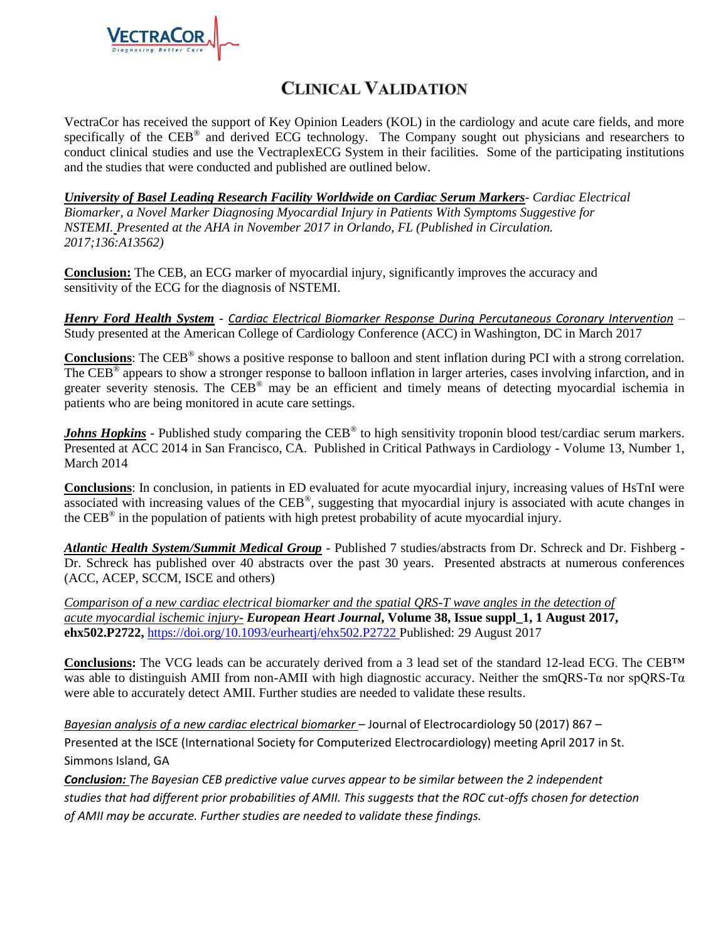

## **CLINICAL VALIDATION**

VectraCor has received the support of Key Opinion Leaders (KOL) in the cardiology and acute care fields, and more specifically of the CEB<sup>®</sup> and derived ECG technology. The Company sought out physicians and researchers to conduct clinical studies and use the VectraplexECG System in their facilities. Some of the participating institutions and the studies that were conducted and published are outlined below.

*University of Basel Leading Research Facility Worldwide on Cardiac Serum Markers- Cardiac Electrical Biomarker, a Novel Marker Diagnosing Myocardial Injury in Patients With Symptoms Suggestive for NSTEMI. Presented at the AHA in November 2017 in Orlando, FL (Published in Circulation. 2017;136:A13562)*

**Conclusion:** The CEB, an ECG marker of myocardial injury, significantly improves the accuracy and sensitivity of the ECG for the diagnosis of NSTEMI.

*Henry Ford Health System - Cardiac Electrical Biomarker Response During Percutaneous Coronary Intervention* – Study presented at the American College of Cardiology Conference (ACC) in Washington, DC in March 2017

**Conclusions**: The CEB® shows a positive response to balloon and stent inflation during PCI with a strong correlation. The CEB<sup>®</sup> appears to show a stronger response to balloon inflation in larger arteries, cases involving infarction, and in greater severity stenosis. The CEB<sup>®</sup> may be an efficient and timely means of detecting myocardial ischemia in patients who are being monitored in acute care settings.

*Johns Hopkins* - Published study comparing the CEB<sup>®</sup> to high sensitivity troponin blood test/cardiac serum markers. Presented at ACC 2014 in San Francisco, CA. Published in Critical Pathways in Cardiology - Volume 13, Number 1, March 2014

**Conclusions**: In conclusion, in patients in ED evaluated for acute myocardial injury, increasing values of HsTnI were associated with increasing values of the CEB<sup>®</sup>, suggesting that myocardial injury is associated with acute changes in the CEB<sup>®</sup> in the population of patients with high pretest probability of acute myocardial injury.

*Atlantic Health System/Summit Medical Group -* Published 7 studies/abstracts from Dr. Schreck and Dr. Fishberg - Dr. Schreck has published over 40 abstracts over the past 30 years. Presented abstracts at numerous conferences (ACC, ACEP, SCCM, ISCE and others)

*Comparison of a new cardiac electrical biomarker and the spatial QRS-T wave angles in the detection of acute myocardial ischemic injury- European Heart Journal***, Volume 38, Issue suppl\_1, 1 August 2017, ehx502.P2722,** <https://doi.org/10.1093/eurheartj/ehx502.P2722> Published: 29 August 2017

**Conclusions:** The VCG leads can be accurately derived from a 3 lead set of the standard 12-lead ECG. The CEB™ was able to distinguish AMII from non-AMII with high diagnostic accuracy. Neither the smQRS-T $\alpha$  nor spQRS-T $\alpha$ were able to accurately detect AMII. Further studies are needed to validate these results.

*Bayesian analysis of a new cardiac electrical biomarker* – Journal of Electrocardiology 50 (2017) 867 – Presented at the ISCE (International Society for Computerized Electrocardiology) meeting April 2017 in St. Simmons Island, GA

*Conclusion: The Bayesian CEB predictive value curves appear to be similar between the 2 independent studies that had different prior probabilities of AMII. This suggests that the ROC cut-offs chosen for detection of AMII may be accurate. Further studies are needed to validate these findings.*